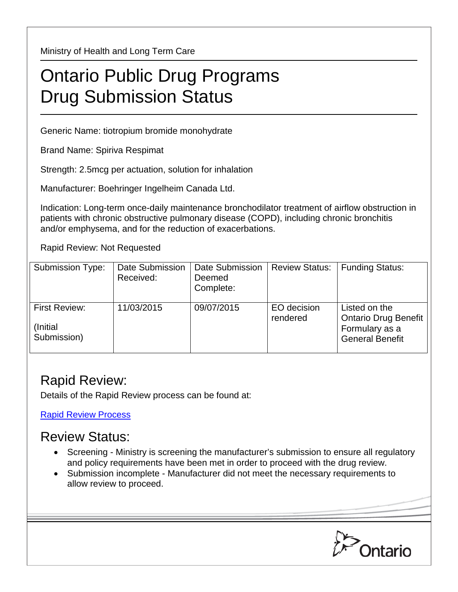Ministry of Health and Long Term Care

## Ontario Public Drug Programs Drug Submission Status

Generic Name: tiotropium bromide monohydrate

Brand Name: Spiriva Respimat

Strength: 2.5mcg per actuation, solution for inhalation

Manufacturer: Boehringer Ingelheim Canada Ltd.

Indication: Long-term once-daily maintenance bronchodilator treatment of airflow obstruction in patients with chronic obstructive pulmonary disease (COPD), including chronic bronchitis and/or emphysema, and for the reduction of exacerbations.

Rapid Review: Not Requested

| <b>Submission Type:</b>                          | Date Submission<br>Received: | Date Submission<br>Deemed<br>Complete: | <b>Review Status:</b>   | <b>Funding Status:</b>                                                            |
|--------------------------------------------------|------------------------------|----------------------------------------|-------------------------|-----------------------------------------------------------------------------------|
| <b>First Review:</b><br>(Initial)<br>Submission) | 11/03/2015                   | 09/07/2015                             | EO decision<br>rendered | Listed on the<br>Ontario Drug Benefit<br>Formulary as a<br><b>General Benefit</b> |

## Rapid Review:

Details of the Rapid Review process can be found at:

[Rapid Review Process](http://www.health.gov.on.ca/en/pro/programs/drugs/drug_submissions/rapid_review_process.aspx)

## Review Status:

- Screening Ministry is screening the manufacturer's submission to ensure all regulatory and policy requirements have been met in order to proceed with the drug review.
- Submission incomplete Manufacturer did not meet the necessary requirements to allow review to proceed.